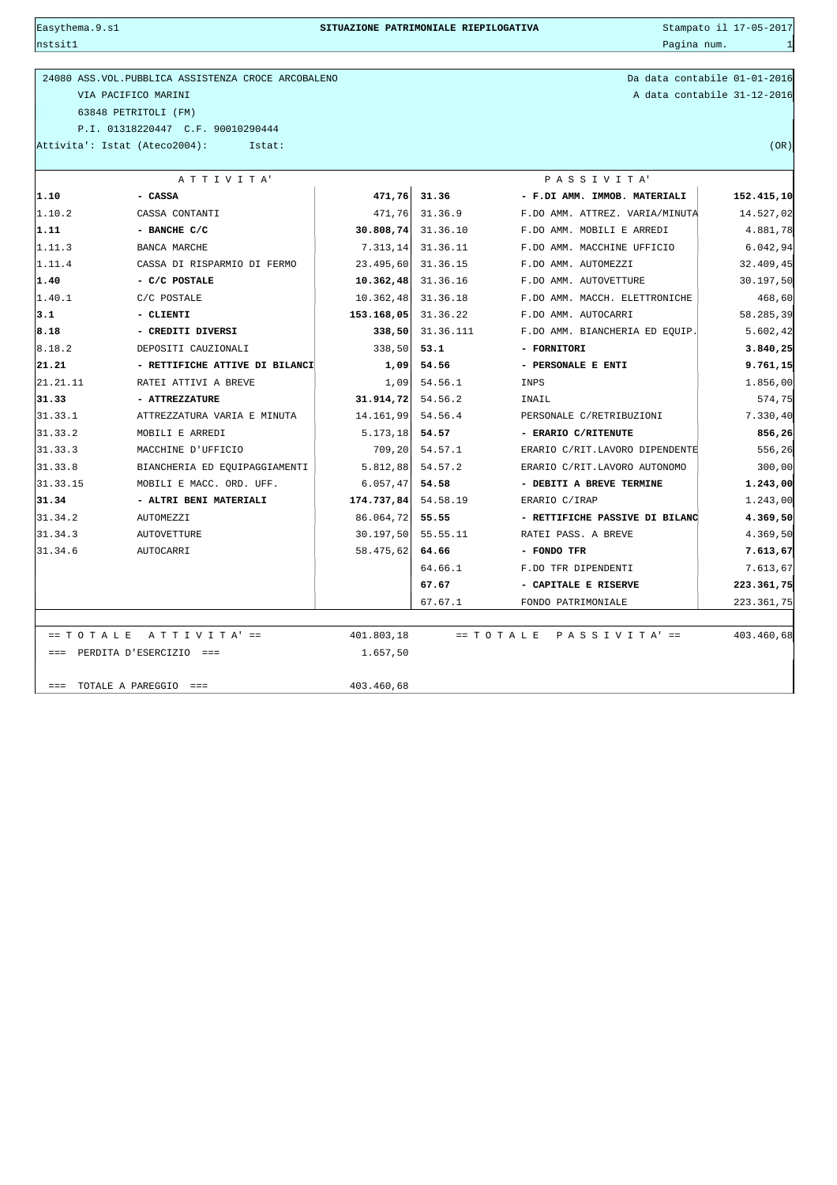$\frac{1}{2}$ nstsit $1$ 

| 24080 ASS. VOL. PUBBLICA ASSISTENZA CROCE ARCOBALENO |  |
|------------------------------------------------------|--|
| VIA PACIFICO MARINI                                  |  |
| 63848 PETRITOLI (FM)                                 |  |
| P.T. 01318220447 C.F. 90010290444                    |  |

Da data contabile 01-01-2016 A data contabile 31-12-2016

Attivita': Istat (Ateco2004): Istat: (OR)

| ATTIVITA'        |                                |                       | PASSIVITA'     |                                |            |  |  |
|------------------|--------------------------------|-----------------------|----------------|--------------------------------|------------|--|--|
| 1.10             | - CASSA                        | 471,76                | 31.36          | - F.DI AMM. IMMOB. MATERIALI   | 152.415,10 |  |  |
| 1.10.2           | CASSA CONTANTI                 | 471,76                | 31.36.9        | F.DO AMM. ATTREZ. VARIA/MINUTA | 14.527,02  |  |  |
| 1.11             | - BANCHE C/C                   | $30.808, 74$ 31.36.10 |                | F.DO AMM. MOBILI E ARREDI      | 4.881,78   |  |  |
| 1.11.3           | <b>BANCA MARCHE</b>            | 7.313,14 31.36.11     |                | F.DO AMM. MACCHINE UFFICIO     |            |  |  |
| 1.11.4           | CASSA DI RISPARMIO DI FERMO    | 23.495,60 31.36.15    |                | F.DO AMM. AUTOMEZZI            | 32.409,45  |  |  |
| 1.40             | - C/C POSTALE                  | $10.362,48$ 31.36.16  |                | F.DO AMM. AUTOVETTURE          | 30.197,50  |  |  |
| 1.40.1           | C/C POSTALE                    | 10.362,48 31.36.18    |                | F.DO AMM. MACCH. ELETTRONICHE  | 468,60     |  |  |
| 3.1              | - CLIENTI                      | 153.168,05 31.36.22   |                | F.DO AMM. AUTOCARRI            | 58.285,39  |  |  |
| 8.18             | - CREDITI DIVERSI              | 338,50                | 31.36.111      | F.DO AMM. BIANCHERIA ED EQUIP. | 5.602, 42  |  |  |
| 8.18.2           | DEPOSITI CAUZIONALI            | 338,50                | 53.1           | - FORNITORI                    | 3.840, 25  |  |  |
| 21.21            | - RETTIFICHE ATTIVE DI BILANCI | 1,09                  | 54.56          | - PERSONALE E ENTI             | 9.761,15   |  |  |
| 21.21.11         | RATEI ATTIVI A BREVE           |                       | $1,09$ 54.56.1 | INPS                           | 1.856,00   |  |  |
| 31.33            | - ATTREZZATURE                 | $31.914, 72$ 54.56.2  |                | INAIL                          | 574,75     |  |  |
| 31.33.1          | ATTREZZATURA VARIA E MINUTA    | 14.161,99 54.56.4     |                | PERSONALE C/RETRIBUZIONI       | 7.330,40   |  |  |
| 31.33.2          | MOBILI E ARREDI                | $5.173, 18$ 54.57     |                | - ERARIO C/RITENUTE            | 856,26     |  |  |
| 31.33.3          | MACCHINE D'UFFICIO             | 709,20                | 54.57.1        | ERARIO C/RIT.LAVORO DIPENDENTE | 556,26     |  |  |
| 31.33.8          | BIANCHERIA ED EOUIPAGGIAMENTI  | $5.812,88$ 54.57.2    |                | ERARIO C/RIT.LAVORO AUTONOMO   | 300,00     |  |  |
| 31.33.15         | MOBILI E MACC. ORD. UFF.       | $6.057, 47$ 54.58     |                | - DEBITI A BREVE TERMINE       | 1.243,00   |  |  |
| 31.34            | - ALTRI BENI MATERIALI         | $174.737,84$ 54.58.19 |                | ERARIO C/IRAP                  | 1.243,00   |  |  |
| 31.34.2          | AUTOMEZZI                      | 86.064,72 55.55       |                | - RETTIFICHE PASSIVE DI BILANC | 4.369,50   |  |  |
| 31.34.3          | <b>AUTOVETTURE</b>             | 30.197,50 55.55.11    |                | RATEI PASS. A BREVE            | 4.369,50   |  |  |
| 31.34.6          | AUTOCARRI                      | 58.475,62 64.66       |                | - FONDO TFR                    | 7.613,67   |  |  |
|                  |                                |                       | 64.66.1        | F.DO TFR DIPENDENTI            | 7.613,67   |  |  |
|                  |                                |                       | 67.67          | - CAPITALE E RISERVE           | 223.361,75 |  |  |
|                  |                                |                       | 67.67.1        | FONDO PATRIMONIALE             | 223.361,75 |  |  |
|                  |                                |                       |                |                                |            |  |  |
| $== T O T A L E$ | A T T I V I T A' ==            | 401.803,18            |                | $= T O T A L E$ PASSIVITA' ==  | 403.460,68 |  |  |
|                  | $==$ PERDITA D'ESERCIZIO ===   | 1.657,50              |                |                                |            |  |  |
|                  | $==$ TOTALE A PAREGGIO $==$    | 403.460,68            |                |                                |            |  |  |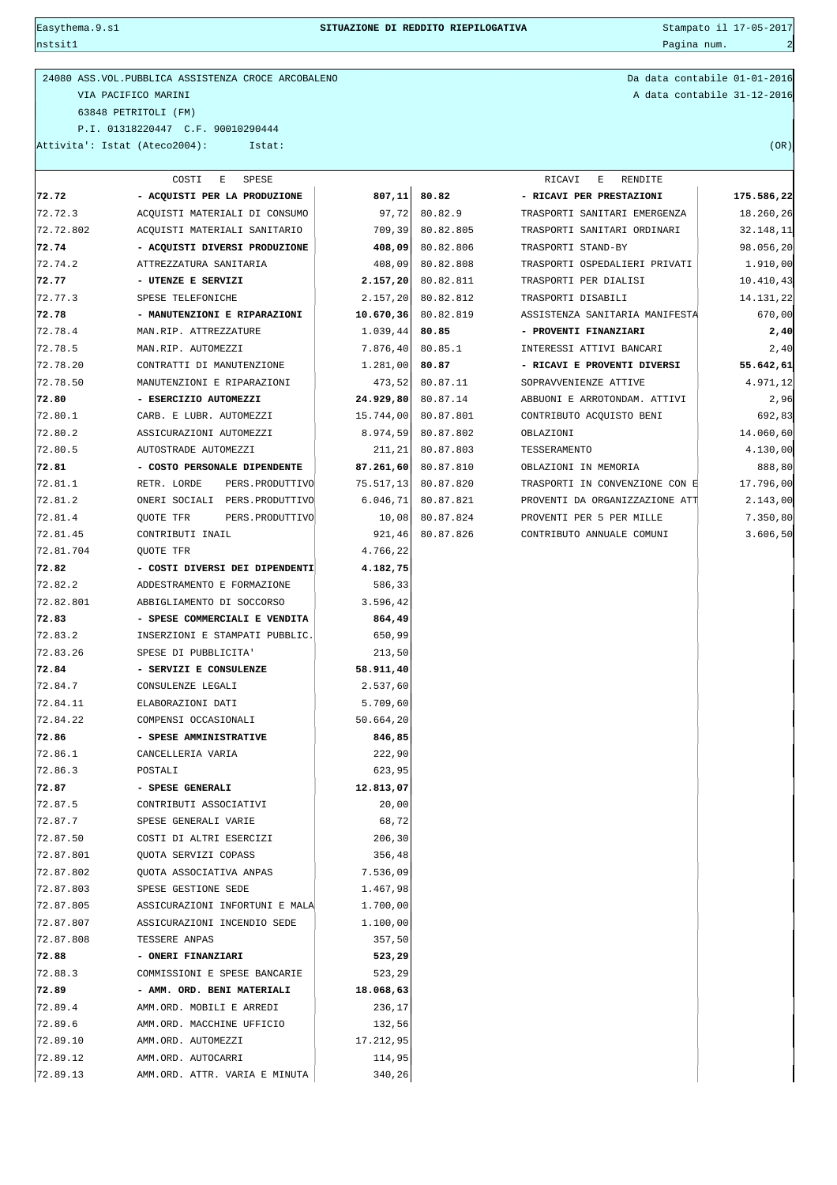nstsit1 Pagina num. 2007. Pagina num. 2008. Pagina num. 2008. Pagina num. 2008. Pagina num. 2008. Pagina num. 2008. Pagina num. 2008. Pagina num. 2008. Pagina num. 2008. Pagina num. 2008. Pagina num. 2008. Pagina num. 2008

## Easythema.9.s1 **SITUAZIONE DI REDDITO RIEPILOGATIVA** Stampato il 17-05-2017

## 24080 ASS.VOL.PUBBLICA ASSISTENZA CROCE ARCOBALENO Da data contabile 01-01-2016 VIA PACIFICO MARINI A data contabile 31-12-2016 63848 PETRITOLI (FM) P.I. 01318220447 C.F. 90010290444 Attivita': Istat (Ateco2004): Istat: (OR)

|           | COSTI<br>E<br>SPESE                  |            |                                             | RICAVI<br>RENDITE<br>Е         |            |
|-----------|--------------------------------------|------------|---------------------------------------------|--------------------------------|------------|
| 72.72     | - ACQUISTI PER LA PRODUZIONE         | 807,11     | 80.82                                       | - RICAVI PER PRESTAZIONI       | 175.586,22 |
| 72.72.3   | ACQUISTI MATERIALI DI CONSUMO        | 97,72      | 80.82.9                                     | TRASPORTI SANITARI EMERGENZA   | 18.260,26  |
| 72.72.802 | ACQUISTI MATERIALI SANITARIO         | 709, 39    | 80.82.805                                   | 32.148,11                      |            |
| 72.74     | - ACQUISTI DIVERSI PRODUZIONE        | 408,09     | 80.82.806                                   | TRASPORTI STAND-BY             | 98.056, 20 |
| 72.74.2   | ATTREZZATURA SANITARIA               | 408,09     | 80.82.808                                   | TRASPORTI OSPEDALIERI PRIVATI  | 1.910,00   |
| 72.77     | - UTENZE E SERVIZI                   | 2.157, 20  | 80.82.811                                   | TRASPORTI PER DIALISI          | 10.410,43  |
| 72.77.3   | SPESE TELEFONICHE                    | 2.157, 20  | 80.82.812                                   | TRASPORTI DISABILI             | 14.131,22  |
| 72.78     | - MANUTENZIONI E RIPARAZIONI         | 10.670, 36 | 80.82.819<br>ASSISTENZA SANITARIA MANIFESTA |                                | 670,00     |
| 72.78.4   | MAN.RIP. ATTREZZATURE                | 1.039,44   | 80.85                                       | - PROVENTI FINANZIARI          | 2,40       |
| 72.78.5   | MAN.RIP. AUTOMEZZI                   | 7.876, 40  | 80.85.1                                     | INTERESSI ATTIVI BANCARI       | 2,40       |
| 72.78.20  | CONTRATTI DI MANUTENZIONE            | 1.281,00   | 80.87                                       | - RICAVI E PROVENTI DIVERSI    | 55.642,61  |
| 72.78.50  | MANUTENZIONI E RIPARAZIONI           | 473,52     | 80.87.11                                    | SOPRAVVENIENZE ATTIVE          | 4.971,12   |
| 72.80     | - ESERCIZIO AUTOMEZZI                | 24.929,80  | 80.87.14                                    | ABBUONI E ARROTONDAM. ATTIVI   | 2,96       |
| 72.80.1   | CARB. E LUBR. AUTOMEZZI              | 15.744,00  | 80.87.801                                   | CONTRIBUTO ACQUISTO BENI       | 692,83     |
| 72.80.2   | ASSICURAZIONI AUTOMEZZI              | 8.974,59   | 80.87.802                                   | OBLAZIONI                      | 14.060,60  |
| 72.80.5   | AUTOSTRADE AUTOMEZZI                 | 211,21     | 80.87.803                                   | TESSERAMENTO                   | 4.130,00   |
| 72.81     | - COSTO PERSONALE DIPENDENTE         | 87.261,60  | 80.87.810                                   | OBLAZIONI IN MEMORIA           | 888,80     |
| 72.81.1   | RETR. LORDE<br>PERS. PRODUTTIVO      | 75.517,13  | 80.87.820                                   | TRASPORTI IN CONVENZIONE CON E | 17.796,00  |
| 72.81.2   | ONERI SOCIALI PERS. PRODUTTIVO       | 6.046, 71  | 80.87.821                                   | PROVENTI DA ORGANIZZAZIONE ATT | 2.143,00   |
| 72.81.4   | <b>OUOTE TFR</b><br>PERS. PRODUTTIVO | 10,08      | 80.87.824                                   | PROVENTI PER 5 PER MILLE       | 7.350,80   |
| 72.81.45  | CONTRIBUTI INAIL                     | 921, 46    | 80.87.826                                   | CONTRIBUTO ANNUALE COMUNI      | 3.606, 50  |
| 72.81.704 | QUOTE TFR                            | 4.766,22   |                                             |                                |            |
| 72.82     | - COSTI DIVERSI DEI DIPENDENTI       | 4.182,75   |                                             |                                |            |
| 72.82.2   | ADDESTRAMENTO E FORMAZIONE           | 586,33     |                                             |                                |            |
| 72.82.801 | ABBIGLIAMENTO DI SOCCORSO            | 3.596,42   |                                             |                                |            |
| 72.83     | - SPESE COMMERCIALI E VENDITA        | 864,49     |                                             |                                |            |
| 72.83.2   | INSERZIONI E STAMPATI PUBBLIC.       | 650,99     |                                             |                                |            |
| 72.83.26  | SPESE DI PUBBLICITA'                 | 213,50     |                                             |                                |            |
| 72.84     | - SERVIZI E CONSULENZE               | 58.911,40  |                                             |                                |            |
| 72.84.7   | CONSULENZE LEGALI                    | 2.537,60   |                                             |                                |            |
| 72.84.11  | ELABORAZIONI DATI                    | 5.709,60   |                                             |                                |            |
| 72.84.22  | COMPENSI OCCASIONALI                 | 50.664,20  |                                             |                                |            |
| 72.86     | - SPESE AMMINISTRATIVE               | 846,85     |                                             |                                |            |
| 72.86.1   | CANCELLERIA VARIA                    | 222,90     |                                             |                                |            |
| 72.86.3   | POSTALI                              | 623,95     |                                             |                                |            |
| 72.87     | - SPESE GENERALI                     | 12.813,07  |                                             |                                |            |
| 72.87.5   | CONTRIBUTI ASSOCIATIVI               | 20,00      |                                             |                                |            |
| 72.87.7   | SPESE GENERALI VARIE                 | 68,72      |                                             |                                |            |
| 72.87.50  | COSTI DI ALTRI ESERCIZI              | 206,30     |                                             |                                |            |
| 72.87.801 | QUOTA SERVIZI COPASS                 | 356,48     |                                             |                                |            |
| 72.87.802 | QUOTA ASSOCIATIVA ANPAS              | 7.536,09   |                                             |                                |            |
| 72.87.803 | SPESE GESTIONE SEDE                  | 1.467,98   |                                             |                                |            |
| 72.87.805 | ASSICURAZIONI INFORTUNI E MALA       | 1.700,00   |                                             |                                |            |
| 72.87.807 | ASSICURAZIONI INCENDIO SEDE          | 1.100,00   |                                             |                                |            |
| 72.87.808 | TESSERE ANPAS                        | 357,50     |                                             |                                |            |
| 72.88     | - ONERI FINANZIARI                   | 523,29     |                                             |                                |            |
| 72.88.3   | COMMISSIONI E SPESE BANCARIE         | 523,29     |                                             |                                |            |
| 72.89     | - AMM. ORD. BENI MATERIALI           | 18.068,63  |                                             |                                |            |
| 72.89.4   | AMM.ORD. MOBILI E ARREDI             | 236,17     |                                             |                                |            |
| 72.89.6   | AMM.ORD. MACCHINE UFFICIO            | 132,56     |                                             |                                |            |
| 72.89.10  | AMM.ORD. AUTOMEZZI                   | 17.212,95  |                                             |                                |            |
|           |                                      |            |                                             |                                |            |
| 72.89.12  | AMM.ORD. AUTOCARRI                   | 114,95     |                                             |                                |            |